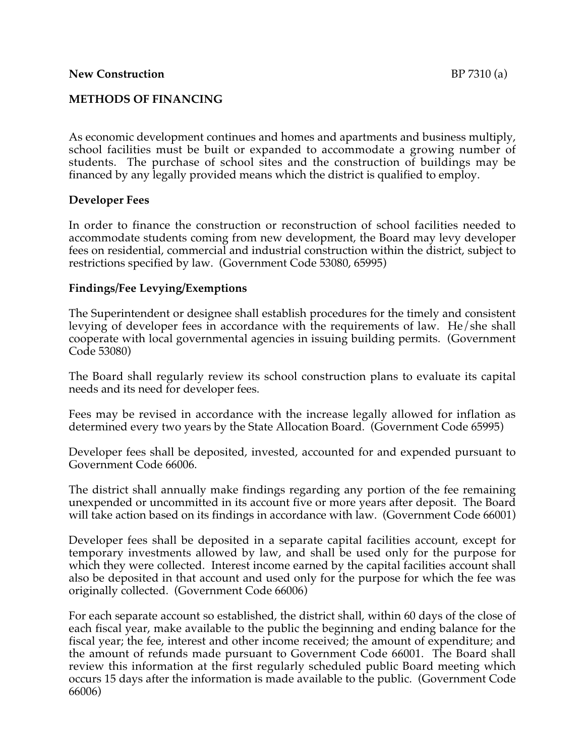# **METHODS OF FINANCING**

As economic development continues and homes and apartments and business multiply, school facilities must be built or expanded to accommodate a growing number of students. The purchase of school sites and the construction of buildings may be financed by any legally provided means which the district is qualified to employ.

### **Developer Fees**

In order to finance the construction or reconstruction of school facilities needed to accommodate students coming from new development, the Board may levy developer fees on residential, commercial and industrial construction within the district, subject to restrictions specified by law. (Government Code 53080, 65995)

### **Findings/Fee Levying/Exemptions**

The Superintendent or designee shall establish procedures for the timely and consistent levying of developer fees in accordance with the requirements of law. He/she shall cooperate with local governmental agencies in issuing building permits. (Government Code 53080)

The Board shall regularly review its school construction plans to evaluate its capital needs and its need for developer fees.

Fees may be revised in accordance with the increase legally allowed for inflation as determined every two years by the State Allocation Board. (Government Code 65995)

Developer fees shall be deposited, invested, accounted for and expended pursuant to Government Code 66006.

The district shall annually make findings regarding any portion of the fee remaining unexpended or uncommitted in its account five or more years after deposit. The Board will take action based on its findings in accordance with law. (Government Code 66001)

Developer fees shall be deposited in a separate capital facilities account, except for temporary investments allowed by law, and shall be used only for the purpose for which they were collected. Interest income earned by the capital facilities account shall also be deposited in that account and used only for the purpose for which the fee was originally collected. (Government Code 66006)

For each separate account so established, the district shall, within 60 days of the close of each fiscal year, make available to the public the beginning and ending balance for the fiscal year; the fee, interest and other income received; the amount of expenditure; and the amount of refunds made pursuant to Government Code 66001. The Board shall review this information at the first regularly scheduled public Board meeting which occurs 15 days after the information is made available to the public. (Government Code 66006)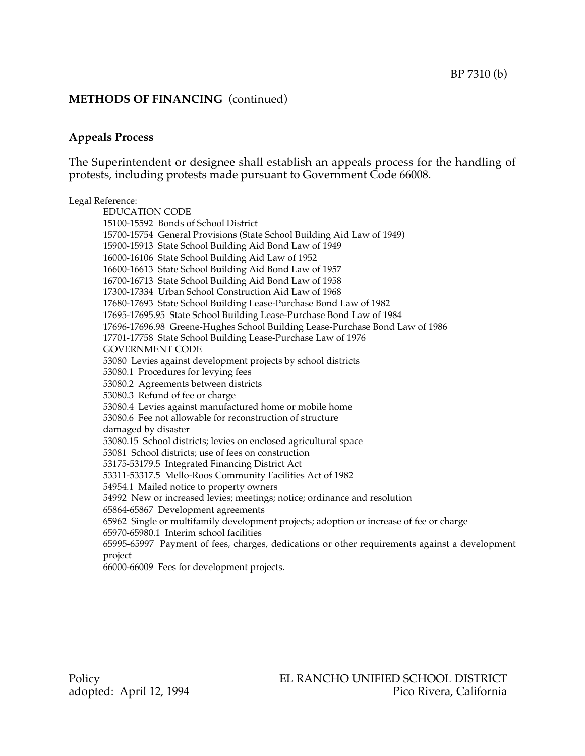## **Appeals Process**

The Superintendent or designee shall establish an appeals process for the handling of protests, including protests made pursuant to Government Code 66008.

#### Legal Reference:

EDUCATION CODE 15100-15592 Bonds of School District 15700-15754 General Provisions (State School Building Aid Law of 1949) 15900-15913 State School Building Aid Bond Law of 1949 16000-16106 State School Building Aid Law of 1952 16600-16613 State School Building Aid Bond Law of 1957 16700-16713 State School Building Aid Bond Law of 1958 17300-17334 Urban School Construction Aid Law of 1968 17680-17693 State School Building Lease-Purchase Bond Law of 1982 17695-17695.95 State School Building Lease-Purchase Bond Law of 1984 17696-17696.98 Greene-Hughes School Building Lease-Purchase Bond Law of 1986 17701-17758 State School Building Lease-Purchase Law of 1976 GOVERNMENT CODE 53080 Levies against development projects by school districts 53080.1 Procedures for levying fees 53080.2 Agreements between districts 53080.3 Refund of fee or charge 53080.4 Levies against manufactured home or mobile home 53080.6 Fee not allowable for reconstruction of structure damaged by disaster 53080.15 School districts; levies on enclosed agricultural space 53081 School districts; use of fees on construction 53175-53179.5 Integrated Financing District Act 53311-53317.5 Mello-Roos Community Facilities Act of 1982 54954.1 Mailed notice to property owners 54992 New or increased levies; meetings; notice; ordinance and resolution 65864-65867 Development agreements 65962 Single or multifamily development projects; adoption or increase of fee or charge 65970-65980.1 Interim school facilities 65995-65997 Payment of fees, charges, dedications or other requirements against a development project

66000-66009 Fees for development projects.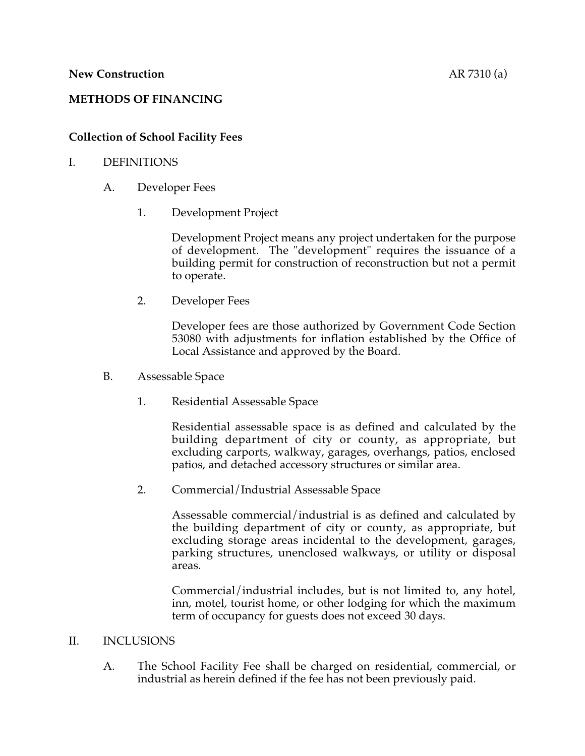# **METHODS OF FINANCING**

# **Collection of School Facility Fees**

### I. DEFINITIONS

- A. Developer Fees
	- 1. Development Project

Development Project means any project undertaken for the purpose of development. The "development" requires the issuance of a building permit for construction of reconstruction but not a permit to operate.

2. Developer Fees

Developer fees are those authorized by Government Code Section 53080 with adjustments for inflation established by the Office of Local Assistance and approved by the Board.

- B. Assessable Space
	- 1. Residential Assessable Space

Residential assessable space is as defined and calculated by the building department of city or county, as appropriate, but excluding carports, walkway, garages, overhangs, patios, enclosed patios, and detached accessory structures or similar area.

2. Commercial/Industrial Assessable Space

Assessable commercial/industrial is as defined and calculated by the building department of city or county, as appropriate, but excluding storage areas incidental to the development, garages, parking structures, unenclosed walkways, or utility or disposal areas.

Commercial/industrial includes, but is not limited to, any hotel, inn, motel, tourist home, or other lodging for which the maximum term of occupancy for guests does not exceed 30 days.

### II. INCLUSIONS

A. The School Facility Fee shall be charged on residential, commercial, or industrial as herein defined if the fee has not been previously paid.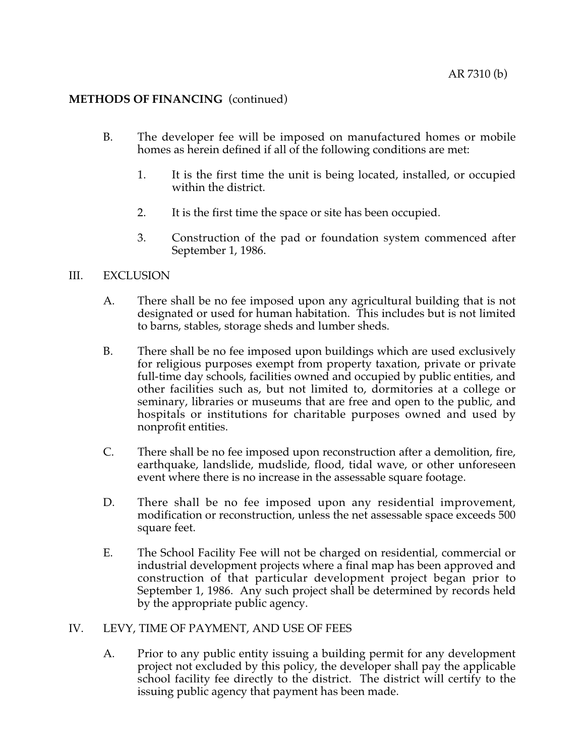- B. The developer fee will be imposed on manufactured homes or mobile homes as herein defined if all of the following conditions are met:
	- 1. It is the first time the unit is being located, installed, or occupied within the district.
	- 2. It is the first time the space or site has been occupied.
	- 3. Construction of the pad or foundation system commenced after September 1, 1986.

#### III. EXCLUSION

- A. There shall be no fee imposed upon any agricultural building that is not designated or used for human habitation. This includes but is not limited to barns, stables, storage sheds and lumber sheds.
- B. There shall be no fee imposed upon buildings which are used exclusively for religious purposes exempt from property taxation, private or private full-time day schools, facilities owned and occupied by public entities, and other facilities such as, but not limited to, dormitories at a college or seminary, libraries or museums that are free and open to the public, and hospitals or institutions for charitable purposes owned and used by nonprofit entities.
- C. There shall be no fee imposed upon reconstruction after a demolition, fire, earthquake, landslide, mudslide, flood, tidal wave, or other unforeseen event where there is no increase in the assessable square footage.
- D. There shall be no fee imposed upon any residential improvement, modification or reconstruction, unless the net assessable space exceeds 500 square feet.
- E. The School Facility Fee will not be charged on residential, commercial or industrial development projects where a final map has been approved and construction of that particular development project began prior to September 1, 1986. Any such project shall be determined by records held by the appropriate public agency.

### IV. LEVY, TIME OF PAYMENT, AND USE OF FEES

A. Prior to any public entity issuing a building permit for any development project not excluded by this policy, the developer shall pay the applicable school facility fee directly to the district. The district will certify to the issuing public agency that payment has been made.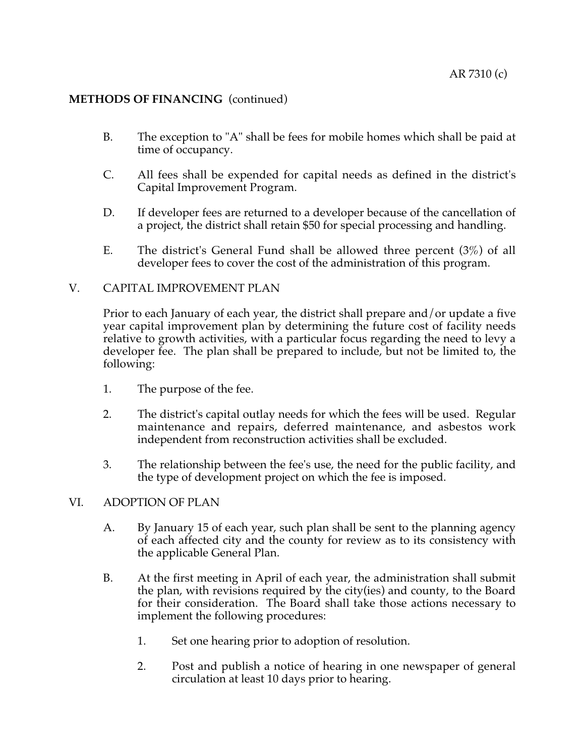- B. The exception to "A" shall be fees for mobile homes which shall be paid at time of occupancy.
- C. All fees shall be expended for capital needs as defined in the district's Capital Improvement Program.
- D. If developer fees are returned to a developer because of the cancellation of a project, the district shall retain \$50 for special processing and handling.
- E. The district's General Fund shall be allowed three percent (3%) of all developer fees to cover the cost of the administration of this program.

### V. CAPITAL IMPROVEMENT PLAN

Prior to each January of each year, the district shall prepare and/or update a five year capital improvement plan by determining the future cost of facility needs relative to growth activities, with a particular focus regarding the need to levy a developer fee. The plan shall be prepared to include, but not be limited to, the following:

- 1. The purpose of the fee.
- 2. The district's capital outlay needs for which the fees will be used. Regular maintenance and repairs, deferred maintenance, and asbestos work independent from reconstruction activities shall be excluded.
- 3. The relationship between the fee's use, the need for the public facility, and the type of development project on which the fee is imposed.

# VI. ADOPTION OF PLAN

- A. By January 15 of each year, such plan shall be sent to the planning agency of each affected city and the county for review as to its consistency with the applicable General Plan.
- B. At the first meeting in April of each year, the administration shall submit the plan, with revisions required by the city(ies) and county, to the Board for their consideration. The Board shall take those actions necessary to implement the following procedures:
	- 1. Set one hearing prior to adoption of resolution.
	- 2. Post and publish a notice of hearing in one newspaper of general circulation at least 10 days prior to hearing.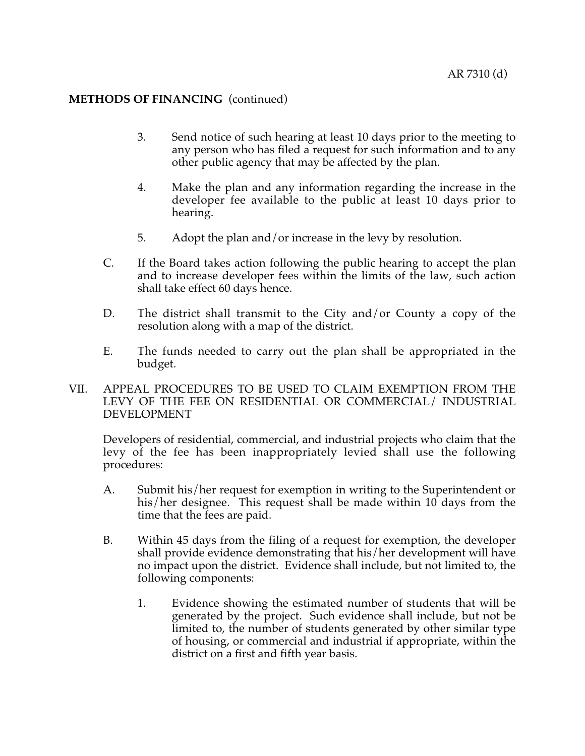- 3. Send notice of such hearing at least 10 days prior to the meeting to any person who has filed a request for such information and to any other public agency that may be affected by the plan.
- 4. Make the plan and any information regarding the increase in the developer fee available to the public at least 10 days prior to hearing.
- 5. Adopt the plan and/or increase in the levy by resolution.
- C. If the Board takes action following the public hearing to accept the plan and to increase developer fees within the limits of the law, such action shall take effect 60 days hence.
- D. The district shall transmit to the City and/or County a copy of the resolution along with a map of the district.
- E. The funds needed to carry out the plan shall be appropriated in the budget.
- VII. APPEAL PROCEDURES TO BE USED TO CLAIM EXEMPTION FROM THE LEVY OF THE FEE ON RESIDENTIAL OR COMMERCIAL/ INDUSTRIAL DEVELOPMENT

Developers of residential, commercial, and industrial projects who claim that the levy of the fee has been inappropriately levied shall use the following procedures:

- A. Submit his/her request for exemption in writing to the Superintendent or his/her designee. This request shall be made within 10 days from the time that the fees are paid.
- B. Within 45 days from the filing of a request for exemption, the developer shall provide evidence demonstrating that his/her development will have no impact upon the district. Evidence shall include, but not limited to, the following components:
	- 1. Evidence showing the estimated number of students that will be generated by the project. Such evidence shall include, but not be limited to, the number of students generated by other similar type of housing, or commercial and industrial if appropriate, within the district on a first and fifth year basis.